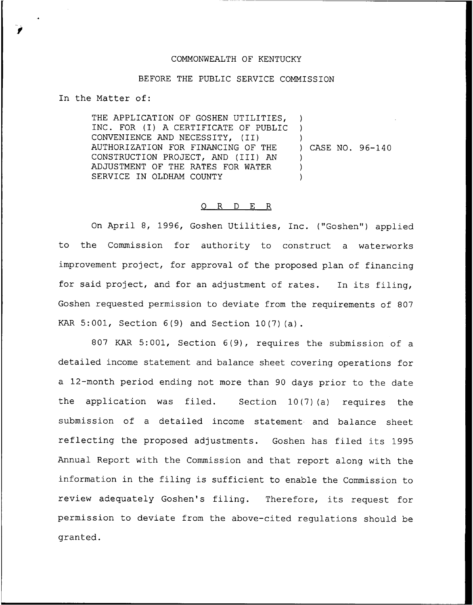## COMMONWEALTH OF KENTUCKY

## BEFORE THE PUBLIC SERVICE COMMISSION

In the Matter of:

THE APPLICATION OF GOSHEN UTILITIES, INC. FOR (I) <sup>A</sup> CERTIFICATE OF PUBLIC CONVENIENCE AND NECESSITY, (II) AUTHORIZATION FOR FINANCING OF THE CONSTRUCTION PROJECT, AND (III) AN ADJUSTMENT OF THE RATES FOR WATER SERVICE IN OLDHAM COUNTY )  $\lambda$ ) ) CASE NO. 96-140 ) ) )

## 0 R <sup>D</sup> E R

On April 8, 1996, Goshen Utilities, Inc. ("Goshen") applied to the Commission for authority to construct a waterworks improvement project, for approval of the proposed plan of financing for said project, and for an adjustment of rates. In its filing, Goshen requested permission to deviate from the requirements of 807 KAR 5:001, Section 6(9) and Section 10(7)(a).

807 KAR 5:001, Section 6(9), requires the submission of a detailed income statement and balance sheet covering operations for a 12-month period ending not more than 90 days prior to the date the application was filed. Section 10(7)(a) requires the submission of a detailed income statement and balance sheet reflecting the proposed adjustments. Goshen has filed its 1995 Annual Report with the Commission and that report along with the information in the filing is sufficient to enable the Commission to review adequately Goshen's filing. Therefore, its request for permission to deviate from the above-cited regulations should be granted.